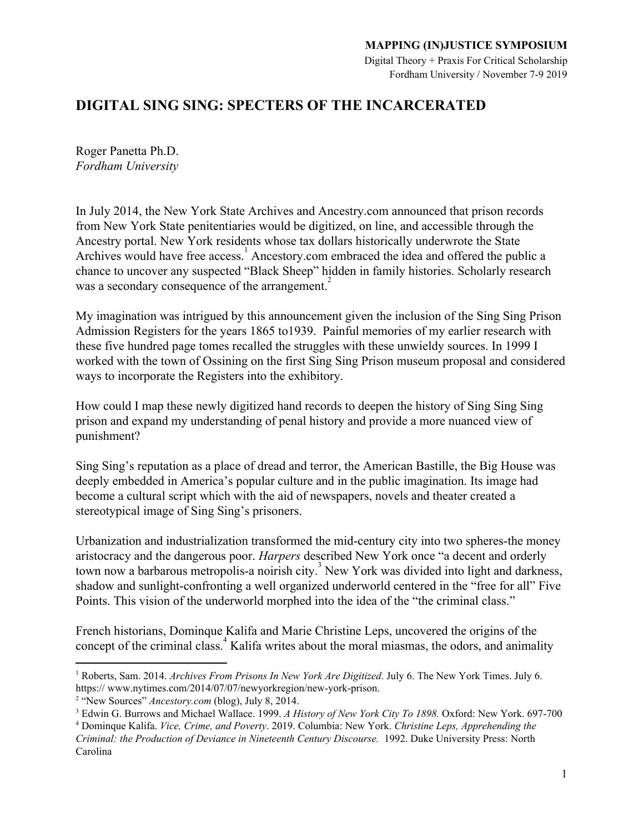Digital Theory + Praxis For Critical Scholarship Fordham University / November 7-9 2019

# **DIGITAL SING SING: SPECTERS OF THE INCARCERATED**

Roger Panetta Ph.D. *Fordham University*

In July 2014, the New York State Archives and Ancestry.com announced that prison records from New York State penitentiaries would be digitized, on line, and accessible through the Ancestry portal. New York residents whose tax dollars historically underwrote the State Archives would have free  $access$ . Ancestory.com embraced the idea and offered the public a chance to uncover any suspected "Black Sheep" hidden in family histories. Scholarly research was a secondary consequence of the arrangement.<sup>2</sup>

My imagination was intrigued by this announcement given the inclusion of the Sing Sing Prison Admission Registers for the years 1865 to1939. Painful memories of my earlier research with these five hundred page tomes recalled the struggles with these unwieldy sources. In 1999 I worked with the town of Ossining on the first Sing Sing Prison museum proposal and considered ways to incorporate the Registers into the exhibitory.

How could I map these newly digitized hand records to deepen the history of Sing Sing Sing prison and expand my understanding of penal history and provide a more nuanced view of punishment?

Sing Sing's reputation as a place of dread and terror, the American Bastille, the Big House was deeply embedded in America's popular culture and in the public imagination. Its image had become a cultural script which with the aid of newspapers, novels and theater created a stereotypical image of Sing Sing's prisoners.

Urbanization and industrialization transformed the mid-century city into two spheres-the money aristocracy and the dangerous poor. *Harpers* described New York once "a decent and orderly town now a barbarous metropolis-a noirish city.<sup>3</sup> New York was divided into light and darkness, shadow and sunlight-confronting a well organized underworld centered in the "free for all" Five Points. This vision of the underworld morphed into the idea of the "the criminal class."

French historians, Dominque Kalifa and Marie Christine Leps, uncovered the origins of the concept of the criminal class.<sup>4</sup> Kalifa writes about the moral miasmas, the odors, and animality

<sup>1</sup> Roberts, Sam. 2014. *Archives From Prisons In New York Are Digitized*. July 6. The New York Times. July 6. https:// www.nytimes.com/2014/07/07/newyorkregion/new-york-prison.

<sup>2</sup> "New Sources" *Ancestory.com* (blog), July 8, 2014.

<sup>3</sup> Edwin G. Burrows and Michael Wallace. 1999. *A History of New York City To 1898.* Oxford: New York. 697-700

<sup>4</sup> Dominque Kalifa. *Vice, Crime, and Poverty*. 2019. Columbia: New York. *Christine Leps, Apprehending the Criminal: the Production of Deviance in Nineteenth Century Discourse.* 1992. Duke University Press: North Carolina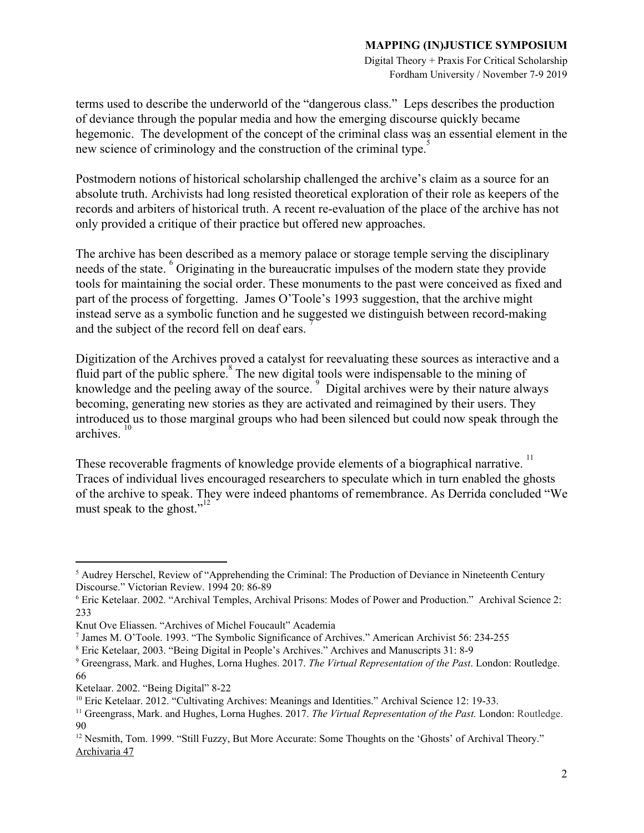Digital Theory + Praxis For Critical Scholarship Fordham University / November 7-9 2019

terms used to describe the underworld of the "dangerous class." Leps describes the production of deviance through the popular media and how the emerging discourse quickly became hegemonic. The development of the concept of the criminal class was an essential element in the new science of criminology and the construction of the criminal type.<sup>5</sup>

Postmodern notions of historical scholarship challenged the archive's claim as a source for an absolute truth. Archivists had long resisted theoretical exploration of their role as keepers of the records and arbiters of historical truth. A recent re-evaluation of the place of the archive has not only provided a critique of their practice but offered new approaches.

The archive has been described as a memory palace or storage temple serving the disciplinary needs of the state. <sup>o</sup> Originating in the bureaucratic impulses of the modern state they provide tools for maintaining the social order. These monuments to the past were conceived as fixed and part of the process of forgetting. James O'Toole's 1993 suggestion, that the archive might instead serve as a symbolic function and he suggested we distinguish between record-making and the subject of the record fell on deaf ears.

Digitization of the Archives proved a catalyst for reevaluating these sources as interactive and a fluid part of the public sphere. $\degree$  The new digital tools were indispensable to the mining of knowledge and the peeling away of the source.<sup>9</sup> Digital archives were by their nature always becoming, generating new stories as they are activated and reimagined by their users. They introduced us to those marginal groups who had been silenced but could now speak through the archives.

These recoverable fragments of knowledge provide elements of a biographical narrative.<sup>11</sup> Traces of individual lives encouraged researchers to speculate which in turn enabled the ghosts of the archive to speak. They were indeed phantoms of remembrance. As Derrida concluded "We must speak to the ghost."<sup>12</sup>

<sup>&</sup>lt;sup>5</sup> Audrey Herschel, Review of "Apprehending the Criminal: The Production of Deviance in Nineteenth Century Discourse." Victorian Review. 1994 20: 86-89

<sup>6</sup> Eric Ketelaar. 2002. "Archival Temples, Archival Prisons: Modes of Power and Production." Archival Science 2: 233

Knut Ove Eliassen. "Archives of Michel Foucault" Academia

<sup>7</sup> James M. O'Toole. 1993. "The Symbolic Significance of Archives." American Archivist 56: 234-255

<sup>8</sup> Eric Ketelaar, 2003. "Being Digital in People's Archives." Archives and Manuscripts 31: 8-9

<sup>9</sup> Greengrass, Mark. and Hughes, Lorna Hughes. 2017. *The Virtual Representation of the Past*. London: Routledge. 66

Ketelaar. 2002. "Being Digital" 8-22

<sup>&</sup>lt;sup>10</sup> Eric Ketelaar. 2012. "Cultivating Archives: Meanings and Identities." Archival Science 12: 19-33.

<sup>11</sup> Greengrass, Mark. and Hughes, Lorna Hughes. 2017. *The Virtual Representation of the Past.* London: Routledge. 90

<sup>&</sup>lt;sup>12</sup> Nesmith, Tom. 1999. "Still Fuzzy, But More Accurate: Some Thoughts on the 'Ghosts' of Archival Theory." [Archivaria](https://archivaria.ca/index.php/archivaria/issue/view/424) 47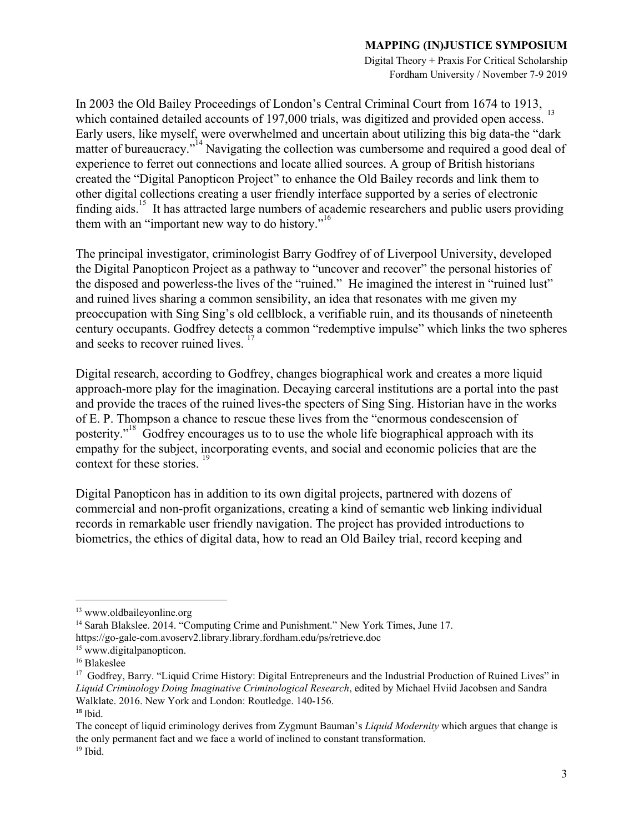Digital Theory + Praxis For Critical Scholarship Fordham University / November 7-9 2019

In 2003 the Old Bailey Proceedings of London's Central Criminal Court from 1674 to 1913, which contained detailed accounts of 197,000 trials, was digitized and provided open access. Early users, like myself, were overwhelmed and uncertain about utilizing this big data-the "dark matter of bureaucracy."<sup>14</sup> Navigating the collection was cumbersome and required a good deal of experience to ferret out connections and locate allied sources. A group of British historians created the "Digital Panopticon Project" to enhance the Old Bailey records and link them to other digital collections creating a user friendly interface supported by a series of electronic finding aids.<sup>15</sup> It has attracted large numbers of academic researchers and public users providing them with an "important new way to do history."<sup>16</sup>

The principal investigator, criminologist Barry Godfrey of of Liverpool University, developed the Digital Panopticon Project as a pathway to "uncover and recover" the personal histories of the disposed and powerless-the lives of the "ruined." He imagined the interest in "ruined lust" and ruined lives sharing a common sensibility, an idea that resonates with me given my preoccupation with Sing Sing's old cellblock, a verifiable ruin, and its thousands of nineteenth century occupants. Godfrey detects a common "redemptive impulse" which links the two spheres and seeks to recover ruined lives.

Digital research, according to Godfrey, changes biographical work and creates a more liquid approach-more play for the imagination. Decaying carceral institutions are a portal into the past and provide the traces of the ruined lives-the specters of Sing Sing. Historian have in the works of E. P. Thompson a chance to rescue these lives from the "enormous condescension of posterity."<sup>18</sup> Godfrey encourages us to to use the whole life biographical approach with its empathy for the subject, incorporating events, and social and economic policies that are the context for these stories.

Digital Panopticon has in addition to its own digital projects, partnered with dozens of commercial and non-profit organizations, creating a kind of semantic web linking individual records in remarkable user friendly navigation. The project has provided introductions to biometrics, the ethics of digital data, how to read an Old Bailey trial, record keeping and

<sup>13</sup> www.oldbaileyonline.org

<sup>&</sup>lt;sup>14</sup> Sarah Blakslee. 2014. "Computing Crime and Punishment." New York Times, June 17. https://go-gale-com.avoserv2.library.library.fordham.edu/ps/retrieve.doc

<sup>&</sup>lt;sup>15</sup> www.digitalpanopticon.

<sup>16</sup> Blakeslee

<sup>&</sup>lt;sup>17</sup> Godfrey, Barry. "Liquid Crime History: Digital Entrepreneurs and the Industrial Production of Ruined Lives" in *Liquid Criminology Doing Imaginative Criminological Research*, edited by Michael Hviid Jacobsen and Sandra Walklate. 2016. New York and London: Routledge. 140-156.  $18$  Ibid.

The concept of liquid criminology derives from Zygmunt Bauman's *Liquid Modernity* which argues that change is the only permanent fact and we face a world of inclined to constant transformation.  $19$  Ibid.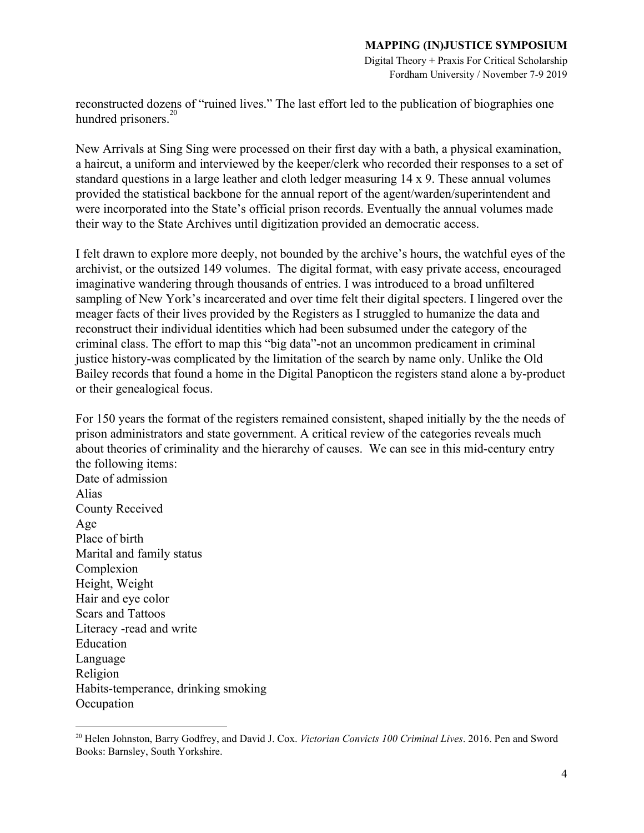Digital Theory + Praxis For Critical Scholarship Fordham University / November 7-9 2019

reconstructed dozens of "ruined lives." The last effort led to the publication of biographies one hundred prisoners. $20$ 

New Arrivals at Sing Sing were processed on their first day with a bath, a physical examination, a haircut, a uniform and interviewed by the keeper/clerk who recorded their responses to a set of standard questions in a large leather and cloth ledger measuring 14 x 9. These annual volumes provided the statistical backbone for the annual report of the agent/warden/superintendent and were incorporated into the State's official prison records. Eventually the annual volumes made their way to the State Archives until digitization provided an democratic access.

I felt drawn to explore more deeply, not bounded by the archive's hours, the watchful eyes of the archivist, or the outsized 149 volumes. The digital format, with easy private access, encouraged imaginative wandering through thousands of entries. I was introduced to a broad unfiltered sampling of New York's incarcerated and over time felt their digital specters. I lingered over the meager facts of their lives provided by the Registers as I struggled to humanize the data and reconstruct their individual identities which had been subsumed under the category of the criminal class. The effort to map this "big data"-not an uncommon predicament in criminal justice history-was complicated by the limitation of the search by name only. Unlike the Old Bailey records that found a home in the Digital Panopticon the registers stand alone a by-product or their genealogical focus.

For 150 years the format of the registers remained consistent, shaped initially by the the needs of prison administrators and state government. A critical review of the categories reveals much about theories of criminality and the hierarchy of causes. We can see in this mid-century entry the following items: Date of admission Alias County Received Age Place of birth Marital and family status Complexion Height, Weight Hair and eye color Scars and Tattoos Literacy -read and write Education Language Religion Habits-temperance, drinking smoking **Occupation** 

<sup>20</sup> Helen Johnston, Barry Godfrey, and David J. Cox. *Victorian Convicts 100 Criminal Lives*. 2016. Pen and Sword Books: Barnsley, South Yorkshire.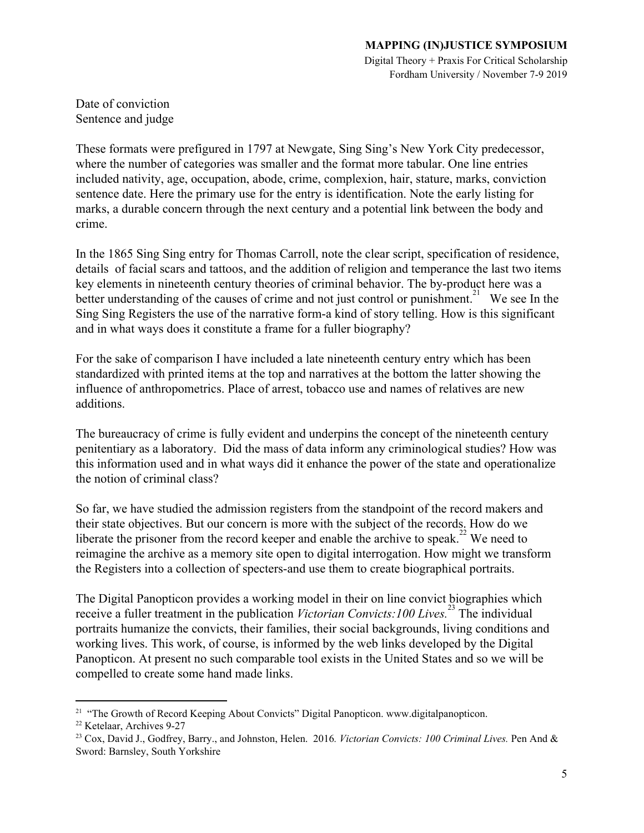Digital Theory + Praxis For Critical Scholarship Fordham University / November 7-9 2019

Date of conviction Sentence and judge

These formats were prefigured in 1797 at Newgate, Sing Sing's New York City predecessor, where the number of categories was smaller and the format more tabular. One line entries included nativity, age, occupation, abode, crime, complexion, hair, stature, marks, conviction sentence date. Here the primary use for the entry is identification. Note the early listing for marks, a durable concern through the next century and a potential link between the body and crime.

In the 1865 Sing Sing entry for Thomas Carroll, note the clear script, specification of residence, details of facial scars and tattoos, and the addition of religion and temperance the last two items key elements in nineteenth century theories of criminal behavior. The by-product here was a better understanding of the causes of crime and not just control or punishment.<sup>21</sup> We see In the Sing Sing Registers the use of the narrative form-a kind of story telling. How is this significant and in what ways does it constitute a frame for a fuller biography?

For the sake of comparison I have included a late nineteenth century entry which has been standardized with printed items at the top and narratives at the bottom the latter showing the influence of anthropometrics. Place of arrest, tobacco use and names of relatives are new additions.

The bureaucracy of crime is fully evident and underpins the concept of the nineteenth century penitentiary as a laboratory. Did the mass of data inform any criminological studies? How was this information used and in what ways did it enhance the power of the state and operationalize the notion of criminal class?

So far, we have studied the admission registers from the standpoint of the record makers and their state objectives. But our concern is more with the subject of the records. How do we liberate the prisoner from the record keeper and enable the archive to speak.<sup>22</sup> We need to reimagine the archive as a memory site open to digital interrogation. How might we transform the Registers into a collection of specters-and use them to create biographical portraits.

The Digital Panopticon provides a working model in their on line convict biographies which receive a fuller treatment in the publication *Victorian Convicts:100 Lives*.<sup>23</sup> The individual portraits humanize the convicts, their families, their social backgrounds, living conditions and working lives. This work, of course, is informed by the web links developed by the Digital Panopticon. At present no such comparable tool exists in the United States and so we will be compelled to create some hand made links.

<sup>&</sup>lt;sup>21</sup> "The Growth of Record Keeping About Convicts" Digital Panopticon. www.digitalpanopticon.

<sup>22</sup> Ketelaar, Archives 9-27

<sup>23</sup> Cox, David J., Godfrey, Barry., and Johnston, Helen. 2016*. Victorian Convicts: 100 Criminal Lives.* Pen And & Sword: Barnsley, South Yorkshire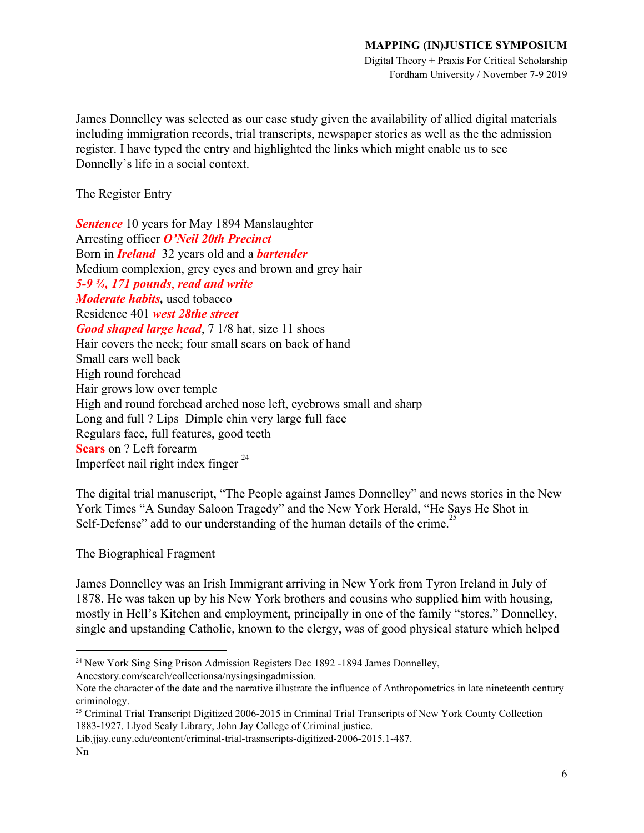Digital Theory + Praxis For Critical Scholarship Fordham University / November 7-9 2019

James Donnelley was selected as our case study given the availability of allied digital materials including immigration records, trial transcripts, newspaper stories as well as the the admission register. I have typed the entry and highlighted the links which might enable us to see Donnelly's life in a social context.

The Register Entry

*Sentence* 10 years for May 1894 Manslaughter Arresting officer *O'Neil 20th Precinct* Born in *Ireland* 32 years old and a *bartender* Medium complexion, grey eyes and brown and grey hair *5-9 ¾, 171 pounds*, *read and write Moderate habits,* used tobacco Residence 401 *west 28the street Good shaped large head*, 7 1/8 hat, size 11 shoes Hair covers the neck; four small scars on back of hand Small ears well back High round forehead Hair grows low over temple High and round forehead arched nose left, eyebrows small and sharp Long and full ? Lips Dimple chin very large full face Regulars face, full features, good teeth **Scars** on ? Left forearm Imperfect nail right index finger <sup>24</sup>

The digital trial manuscript, "The People against James Donnelley" and news stories in the New York Times "A Sunday Saloon Tragedy" and the New York Herald, "He Says He Shot in Self-Defense" add to our understanding of the human details of the crime.

The Biographical Fragment

James Donnelley was an Irish Immigrant arriving in New York from Tyron Ireland in July of 1878. He was taken up by his New York brothers and cousins who supplied him with housing, mostly in Hell's Kitchen and employment, principally in one of the family "stores." Donnelley, single and upstanding Catholic, known to the clergy, was of good physical stature which helped

Note the character of the date and the narrative illustrate the influence of Anthropometrics in late nineteenth century criminology.

<sup>&</sup>lt;sup>24</sup> New York Sing Sing Prison Admission Registers Dec 1892 -1894 James Donnelley, Ancestory.com/search/collectionsa/nysingsingadmission.

<sup>&</sup>lt;sup>25</sup> Criminal Trial Transcript Digitized 2006-2015 in Criminal Trial Transcripts of New York County Collection 1883-1927. Llyod Sealy Library, John Jay College of Criminal justice.

Lib.jjay.cuny.edu/content/criminal-trial-trasnscripts-digitized-2006-2015.1-487.

Nn